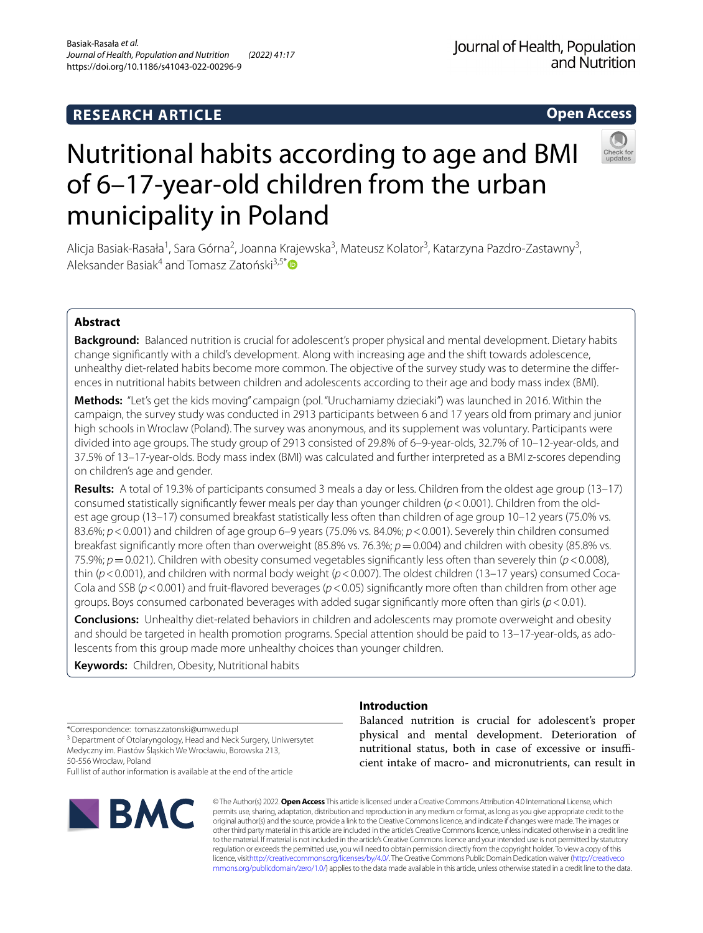## **RESEARCH ARTICLE**

**Open Access**

# Nutritional habits according to age and BMI of 6–17‑year‑old children from the urban municipality in Poland

Alicja Basiak-Rasała<sup>1</sup>, Sara Górna<sup>2</sup>, Joanna Krajewska<sup>3</sup>, Mateusz Kolator<sup>3</sup>, Katarzyna Pazdro-Zastawny<sup>3</sup>, Aleksander Basiak<sup>4</sup> and Tomasz Zatoński<sup>3,5\*</sup>

## **Abstract**

**Background:** Balanced nutrition is crucial for adolescent's proper physical and mental development. Dietary habits change signifcantly with a child's development. Along with increasing age and the shift towards adolescence, unhealthy diet-related habits become more common. The objective of the survey study was to determine the differences in nutritional habits between children and adolescents according to their age and body mass index (BMI).

**Methods:** "Let's get the kids moving" campaign (pol. "Uruchamiamy dzieciaki") was launched in 2016. Within the campaign, the survey study was conducted in 2913 participants between 6 and 17 years old from primary and junior high schools in Wroclaw (Poland). The survey was anonymous, and its supplement was voluntary. Participants were divided into age groups. The study group of 2913 consisted of 29.8% of 6–9-year-olds, 32.7% of 10–12-year-olds, and 37.5% of 13–17-year-olds. Body mass index (BMI) was calculated and further interpreted as a BMI z-scores depending on children's age and gender.

**Results:** A total of 19.3% of participants consumed 3 meals a day or less. Children from the oldest age group (13–17) consumed statistically signifcantly fewer meals per day than younger children (*p*<0.001). Children from the old‑ est age group (13–17) consumed breakfast statistically less often than children of age group 10–12 years (75.0% vs. 83.6%; *p*<0.001) and children of age group 6–9 years (75.0% vs. 84.0%; *p*<0.001). Severely thin children consumed breakfast signifcantly more often than overweight (85.8% vs. 76.3%; *p*=0.004) and children with obesity (85.8% vs. 75.9%; *p*=0.021). Children with obesity consumed vegetables signifcantly less often than severely thin (*p*<0.008), thin (*p*<0.001), and children with normal body weight (*p*<0.007). The oldest children (13–17 years) consumed Coca-Cola and SSB (*p*<0.001) and fruit-favored beverages (*p*<0.05) signifcantly more often than children from other age groups. Boys consumed carbonated beverages with added sugar signifcantly more often than girls (*p*<0.01).

**Conclusions:** Unhealthy diet-related behaviors in children and adolescents may promote overweight and obesity and should be targeted in health promotion programs. Special attention should be paid to 13–17-year-olds, as adolescents from this group made more unhealthy choices than younger children.

**Keywords:** Children, Obesity, Nutritional habits

## **Introduction**

\*Correspondence: tomasz.zatonski@umw.edu.pl

<sup>3</sup> Department of Otolaryngology, Head and Neck Surgery, Uniwersytet Medyczny im. Piastów Śląskich We Wrocławiu, Borowska 213, 50‑556 Wrocław, Poland

Full list of author information is available at the end of the article



Balanced nutrition is crucial for adolescent's proper physical and mental development. Deterioration of nutritional status, both in case of excessive or insufficient intake of macro- and micronutrients, can result in

© The Author(s) 2022. **Open Access** This article is licensed under a Creative Commons Attribution 4.0 International License, which permits use, sharing, adaptation, distribution and reproduction in any medium or format, as long as you give appropriate credit to the original author(s) and the source, provide a link to the Creative Commons licence, and indicate if changes were made. The images or other third party material in this article are included in the article's Creative Commons licence, unless indicated otherwise in a credit line to the material. If material is not included in the article's Creative Commons licence and your intended use is not permitted by statutory regulation or exceeds the permitted use, you will need to obtain permission directly from the copyright holder. To view a copy of this licence, visi[thttp://creativecommons.org/licenses/by/4.0/](http://creativecommons.org/licenses/by/4.0/). The Creative Commons Public Domain Dedication waiver [\(http://creativeco](http://creativecommons.org/publicdomain/zero/1.0/) [mmons.org/publicdomain/zero/1.0/](http://creativecommons.org/publicdomain/zero/1.0/)) applies to the data made available in this article, unless otherwise stated in a credit line to the data.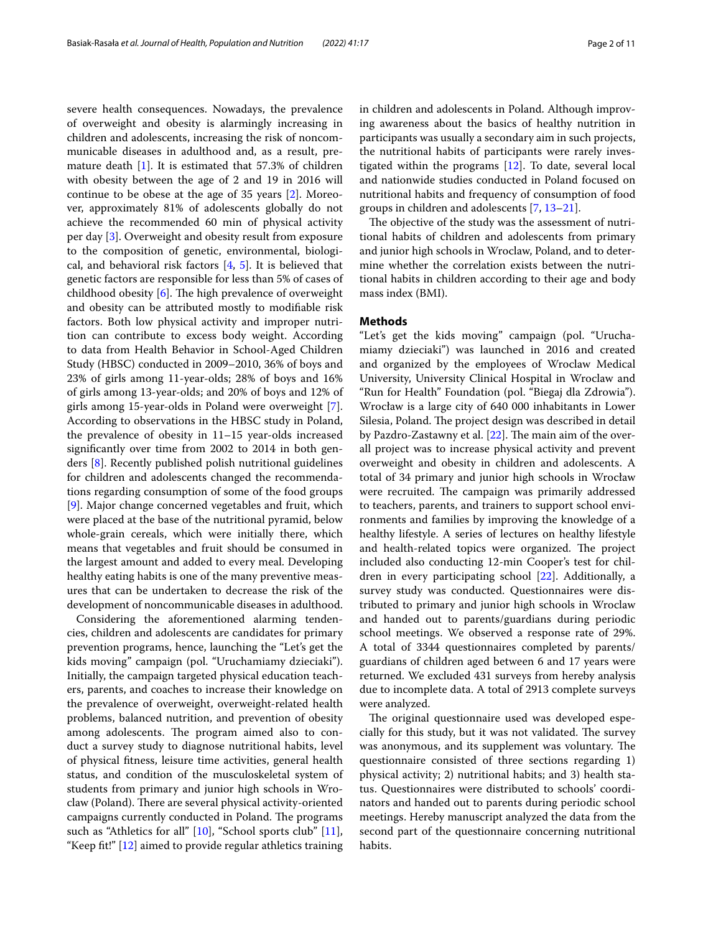severe health consequences. Nowadays, the prevalence of overweight and obesity is alarmingly increasing in children and adolescents, increasing the risk of noncommunicable diseases in adulthood and, as a result, premature death [\[1](#page-9-0)]. It is estimated that 57.3% of children with obesity between the age of 2 and 19 in 2016 will continue to be obese at the age of 35 years [\[2](#page-9-1)]. Moreover, approximately 81% of adolescents globally do not achieve the recommended 60 min of physical activity per day [[3](#page-9-2)]. Overweight and obesity result from exposure to the composition of genetic, environmental, biological, and behavioral risk factors  $[4, 5]$  $[4, 5]$  $[4, 5]$ . It is believed that genetic factors are responsible for less than 5% of cases of childhood obesity  $[6]$  $[6]$ . The high prevalence of overweight and obesity can be attributed mostly to modifable risk factors. Both low physical activity and improper nutrition can contribute to excess body weight. According to data from Health Behavior in School-Aged Children Study (HBSC) conducted in 2009–2010, 36% of boys and 23% of girls among 11-year-olds; 28% of boys and 16% of girls among 13-year-olds; and 20% of boys and 12% of girls among 15-year-olds in Poland were overweight [\[7](#page-9-6)]. According to observations in the HBSC study in Poland, the prevalence of obesity in 11–15 year-olds increased signifcantly over time from 2002 to 2014 in both genders [\[8](#page-9-7)]. Recently published polish nutritional guidelines for children and adolescents changed the recommendations regarding consumption of some of the food groups [[9\]](#page-9-8). Major change concerned vegetables and fruit, which were placed at the base of the nutritional pyramid, below whole-grain cereals, which were initially there, which means that vegetables and fruit should be consumed in the largest amount and added to every meal. Developing healthy eating habits is one of the many preventive measures that can be undertaken to decrease the risk of the development of noncommunicable diseases in adulthood.

Considering the aforementioned alarming tendencies, children and adolescents are candidates for primary prevention programs, hence, launching the "Let's get the kids moving" campaign (pol. "Uruchamiamy dzieciaki"). Initially, the campaign targeted physical education teachers, parents, and coaches to increase their knowledge on the prevalence of overweight, overweight-related health problems, balanced nutrition, and prevention of obesity among adolescents. The program aimed also to conduct a survey study to diagnose nutritional habits, level of physical ftness, leisure time activities, general health status, and condition of the musculoskeletal system of students from primary and junior high schools in Wroclaw (Poland). There are several physical activity-oriented campaigns currently conducted in Poland. The programs such as "Athletics for all" [[10](#page-9-9)], "School sports club" [\[11](#page-9-10)], "Keep fit!"  $[12]$  $[12]$  $[12]$  aimed to provide regular athletics training in children and adolescents in Poland. Although improving awareness about the basics of healthy nutrition in participants was usually a secondary aim in such projects, the nutritional habits of participants were rarely investigated within the programs [\[12\]](#page-9-11). To date, several local and nationwide studies conducted in Poland focused on nutritional habits and frequency of consumption of food groups in children and adolescents [[7,](#page-9-6) [13](#page-9-12)[–21\]](#page-9-13).

The objective of the study was the assessment of nutritional habits of children and adolescents from primary and junior high schools in Wroclaw, Poland, and to determine whether the correlation exists between the nutritional habits in children according to their age and body mass index (BMI).

#### **Methods**

"Let's get the kids moving" campaign (pol. "Uruchamiamy dzieciaki") was launched in 2016 and created and organized by the employees of Wroclaw Medical University, University Clinical Hospital in Wroclaw and "Run for Health" Foundation (pol. "Biegaj dla Zdrowia"). Wrocław is a large city of 640 000 inhabitants in Lower Silesia, Poland. The project design was described in detail by Pazdro-Zastawny et al.  $[22]$  $[22]$ . The main aim of the overall project was to increase physical activity and prevent overweight and obesity in children and adolescents. A total of 34 primary and junior high schools in Wrocław were recruited. The campaign was primarily addressed to teachers, parents, and trainers to support school environments and families by improving the knowledge of a healthy lifestyle. A series of lectures on healthy lifestyle and health-related topics were organized. The project included also conducting 12-min Cooper's test for children in every participating school [[22\]](#page-9-14). Additionally, a survey study was conducted. Questionnaires were distributed to primary and junior high schools in Wroclaw and handed out to parents/guardians during periodic school meetings. We observed a response rate of 29%. A total of 3344 questionnaires completed by parents/ guardians of children aged between 6 and 17 years were returned. We excluded 431 surveys from hereby analysis due to incomplete data. A total of 2913 complete surveys were analyzed.

The original questionnaire used was developed especially for this study, but it was not validated. The survey was anonymous, and its supplement was voluntary. The questionnaire consisted of three sections regarding 1) physical activity; 2) nutritional habits; and 3) health status. Questionnaires were distributed to schools' coordinators and handed out to parents during periodic school meetings. Hereby manuscript analyzed the data from the second part of the questionnaire concerning nutritional habits.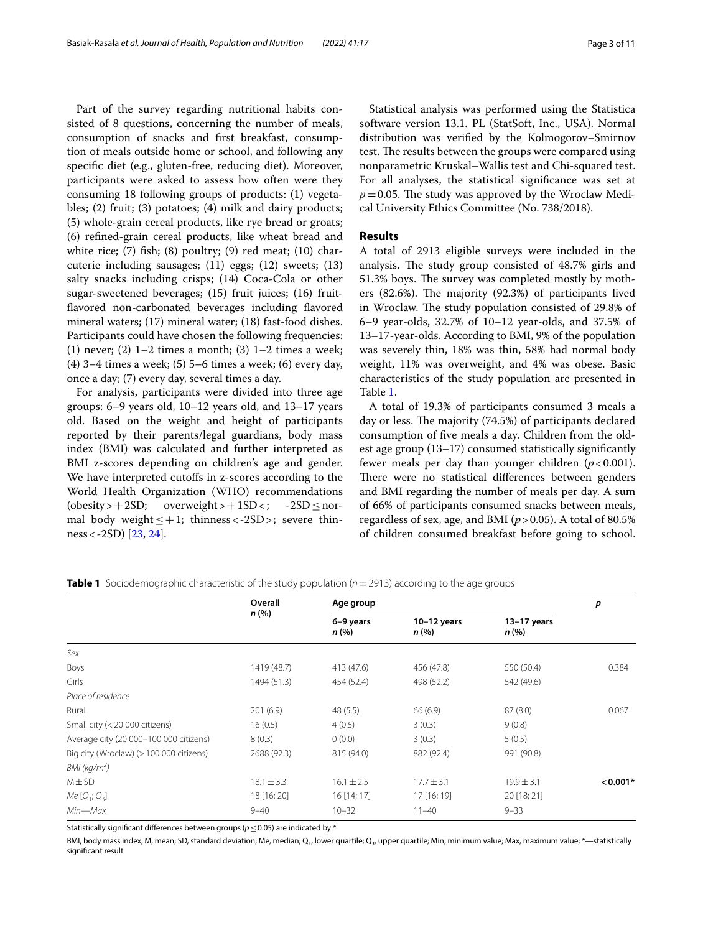Part of the survey regarding nutritional habits consisted of 8 questions, concerning the number of meals, consumption of snacks and frst breakfast, consumption of meals outside home or school, and following any specifc diet (e.g., gluten-free, reducing diet). Moreover, participants were asked to assess how often were they consuming 18 following groups of products: (1) vegetables; (2) fruit; (3) potatoes; (4) milk and dairy products; (5) whole-grain cereal products, like rye bread or groats; (6) refned-grain cereal products, like wheat bread and white rice;  $(7)$  fish;  $(8)$  poultry;  $(9)$  red meat;  $(10)$  charcuterie including sausages; (11) eggs; (12) sweets; (13) salty snacks including crisps; (14) Coca-Cola or other sugar-sweetened beverages; (15) fruit juices; (16) fruitflavored non-carbonated beverages including flavored mineral waters; (17) mineral water; (18) fast-food dishes. Participants could have chosen the following frequencies: (1) never; (2)  $1-2$  times a month; (3)  $1-2$  times a week; (4) 3–4 times a week; (5) 5–6 times a week; (6) every day, once a day; (7) every day, several times a day.

For analysis, participants were divided into three age groups: 6–9 years old, 10–12 years old, and 13–17 years old. Based on the weight and height of participants reported by their parents/legal guardians, body mass index (BMI) was calculated and further interpreted as BMI z-scores depending on children's age and gender. We have interpreted cutoffs in z-scores according to the World Health Organization (WHO) recommendations  $(obsity>+2SD; overweight>+1SD<; -2SD \leq nor-$ mal body weight  $\leq +1$ ; thinness < -2SD >; severe thinness<-2SD) [\[23](#page-9-15), [24\]](#page-9-16).

Statistical analysis was performed using the Statistica software version 13.1. PL (StatSoft, Inc., USA). Normal distribution was verifed by the Kolmogorov–Smirnov test. The results between the groups were compared using nonparametric Kruskal–Wallis test and Chi-squared test. For all analyses, the statistical signifcance was set at  $p=0.05$ . The study was approved by the Wroclaw Medical University Ethics Committee (No. 738/2018).

## **Results**

A total of 2913 eligible surveys were included in the analysis. The study group consisted of 48.7% girls and 51.3% boys. The survey was completed mostly by mothers  $(82.6\%)$ . The majority  $(92.3\%)$  of participants lived in Wroclaw. The study population consisted of 29.8% of 6–9 year-olds, 32.7% of 10–12 year-olds, and 37.5% of 13–17-year-olds. According to BMI, 9% of the population was severely thin, 18% was thin, 58% had normal body weight, 11% was overweight, and 4% was obese. Basic characteristics of the study population are presented in Table [1](#page-2-0).

A total of 19.3% of participants consumed 3 meals a day or less. The majority (74.5%) of participants declared consumption of fve meals a day. Children from the oldest age group (13–17) consumed statistically signifcantly fewer meals per day than younger children (*p*<0.001). There were no statistical differences between genders and BMI regarding the number of meals per day. A sum of 66% of participants consumed snacks between meals, regardless of sex, age, and BMI (*p*>0.05). A total of 80.5% of children consumed breakfast before going to school.

|                                         | Overall<br>n(% ) | Age group         | р                      |                        |            |
|-----------------------------------------|------------------|-------------------|------------------------|------------------------|------------|
|                                         |                  | 6-9 years<br>n(%) | $10-12$ years<br>n (%) | $13-17$ years<br>n (%) |            |
| Sex                                     |                  |                   |                        |                        |            |
| Boys                                    | 1419 (48.7)      | 413 (47.6)        | 456 (47.8)             | 550 (50.4)             | 0.384      |
| Girls                                   | 1494 (51.3)      | 454 (52.4)        | 498 (52.2)             | 542 (49.6)             |            |
| Place of residence                      |                  |                   |                        |                        |            |
| Rural                                   | 201(6.9)         | 48(5.5)           | 66(6.9)                | 87(8.0)                | 0.067      |
| Small city (< 20 000 citizens)          | 16(0.5)          | 4(0.5)            | 3(0.3)                 | 9(0.8)                 |            |
| Average city (20 000-100 000 citizens)  | 8(0.3)           | 0(0.0)            | 3(0.3)                 | 5(0.5)                 |            |
| Big city (Wroclaw) (> 100 000 citizens) | 2688 (92.3)      | 815 (94.0)        | 882 (92.4)             | 991 (90.8)             |            |
| $BMl$ (kg/m <sup>2</sup> )              |                  |                   |                        |                        |            |
| $M \pm SD$                              | $18.1 \pm 3.3$   | $16.1 \pm 2.5$    | $17.7 \pm 3.1$         | $19.9 \pm 3.1$         | $< 0.001*$ |
| $Me [Q_1; Q_3]$                         | 18 [16; 20]      | $16$ [14; 17]     | 17 [16; 19]            | 20 [18; 21]            |            |
| $Min - Max$                             | $9 - 40$         | $10 - 32$         | $11 - 40$              | $9 - 33$               |            |

<span id="page-2-0"></span>**Table 1** Sociodemographic characteristic of the study population (*n*=2913) according to the age groups

Statistically signifcant diferences between groups (*p*≤0.05) are indicated by \*

BMI, body mass index; M, mean; SD, standard deviation; Me, median; Q<sub>1</sub>, lower quartile; Q<sub>3</sub>, upper quartile; Min, minimum value; Max, maximum value; \*--statistically signifcant result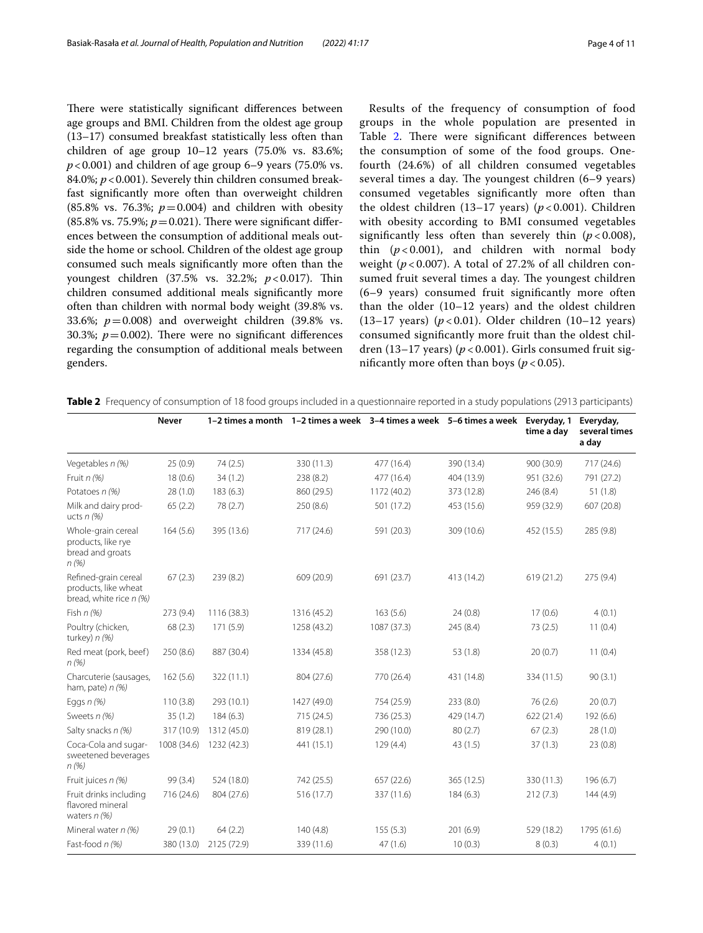There were statistically significant differences between age groups and BMI. Children from the oldest age group (13–17) consumed breakfast statistically less often than children of age group  $10-12$  years  $(75.0\% \text{ vs. } 83.6\%;$  $p$  < 0.001) and children of age group 6–9 years (75.0% vs. 84.0%;  $p < 0.001$ ). Severely thin children consumed breakfast signifcantly more often than overweight children (85.8% vs. 76.3%;  $p = 0.004$ ) and children with obesity (85.8% vs. 75.9%;  $p = 0.021$ ). There were significant differences between the consumption of additional meals outside the home or school. Children of the oldest age group consumed such meals signifcantly more often than the youngest children (37.5% vs. 32.2%; *p* < 0.017). Thin children consumed additional meals signifcantly more often than children with normal body weight (39.8% vs. 33.6%; *p*=0.008) and overweight children (39.8% vs. 30.3%;  $p = 0.002$ ). There were no significant differences regarding the consumption of additional meals between genders.

Results of the frequency of consumption of food groups in the whole population are presented in Table [2](#page-3-0). There were significant differences between the consumption of some of the food groups. Onefourth (24.6%) of all children consumed vegetables several times a day. The youngest children  $(6-9$  years) consumed vegetables signifcantly more often than the oldest children (13–17 years) (*p* < 0.001). Children with obesity according to BMI consumed vegetables significantly less often than severely thin  $(p < 0.008)$ , thin  $(p<0.001)$ , and children with normal body weight ( $p < 0.007$ ). A total of 27.2% of all children consumed fruit several times a day. The youngest children (6–9 years) consumed fruit signifcantly more often than the older (10–12 years) and the oldest children (13–17 years) (*p* < 0.01). Older children (10–12 years) consumed signifcantly more fruit than the oldest children (13–17 years) (*p* < 0.001). Girls consumed fruit significantly more often than boys ( $p < 0.05$ ).

<span id="page-3-0"></span>**Table 2** Frequency of consumption of 18 food groups included in a questionnaire reported in a study populations (2913 participants)

|                                                                         | <b>Never</b> | 1-2 times a month 1-2 times a week 3-4 times a week 5-6 times a week |             |             |            | Everyday, 1<br>time a day | Everyday,<br>several times<br>a day |
|-------------------------------------------------------------------------|--------------|----------------------------------------------------------------------|-------------|-------------|------------|---------------------------|-------------------------------------|
| Vegetables n (%)                                                        | 25(0.9)      | 74 (2.5)                                                             | 330 (11.3)  | 477 (16.4)  | 390 (13.4) | 900 (30.9)                | 717 (24.6)                          |
| Fruit $n$ (%)                                                           | 18(0.6)      | 34(1.2)                                                              | 238 (8.2)   | 477 (16.4)  | 404 (13.9) | 951 (32.6)                | 791 (27.2)                          |
| Potatoes n (%)                                                          | 28(1.0)      | 183(6.3)                                                             | 860 (29.5)  | 1172 (40.2) | 373 (12.8) | 246 (8.4)                 | 51(1.8)                             |
| Milk and dairy prod-<br>ucts $n$ (%)                                    | 65(2.2)      | 78 (2.7)                                                             | 250(8.6)    | 501 (17.2)  | 453 (15.6) | 959 (32.9)                | 607 (20.8)                          |
| Whole-grain cereal<br>products, like rye<br>bread and groats<br>n(%)    | 164(5.6)     | 395 (13.6)                                                           | 717 (24.6)  | 591 (20.3)  | 309 (10.6) | 452 (15.5)                | 285 (9.8)                           |
| Refined-grain cereal<br>products, like wheat<br>bread, white rice n (%) | 67(2.3)      | 239(8.2)                                                             | 609 (20.9)  | 691 (23.7)  | 413 (14.2) | 619 (21.2)                | 275 (9.4)                           |
| Fish $n(%)$                                                             | 273 (9.4)    | 1116 (38.3)                                                          | 1316 (45.2) | 163(5.6)    | 24(0.8)    | 17(0.6)                   | 4(0.1)                              |
| Poultry (chicken,<br>turkey) $n$ (%)                                    | 68(2.3)      | 171(5.9)                                                             | 1258 (43.2) | 1087 (37.3) | 245 (8.4)  | 73(2.5)                   | 11(0.4)                             |
| Red meat (pork, beef)<br>n(%)                                           | 250(8.6)     | 887 (30.4)                                                           | 1334 (45.8) | 358 (12.3)  | 53 (1.8)   | 20(0.7)                   | 11(0.4)                             |
| Charcuterie (sausages,<br>ham, pate) $n$ (%)                            | 162(5.6)     | 322 (11.1)                                                           | 804 (27.6)  | 770 (26.4)  | 431 (14.8) | 334 (11.5)                | 90(3.1)                             |
| Eggs $n$ (%)                                                            | 110(3.8)     | 293 (10.1)                                                           | 1427 (49.0) | 754 (25.9)  | 233 (8.0)  | 76(2.6)                   | 20(0.7)                             |
| Sweets n (%)                                                            | 35(1.2)      | 184(6.3)                                                             | 715 (24.5)  | 736 (25.3)  | 429 (14.7) | 622 (21.4)                | 192 (6.6)                           |
| Salty snacks n (%)                                                      | 317 (10.9)   | 1312 (45.0)                                                          | 819 (28.1)  | 290 (10.0)  | 80(2.7)    | 67(2.3)                   | 28(1.0)                             |
| Coca-Cola and sugar-<br>sweetened beverages<br>n (%)                    | 1008 (34.6)  | 1232 (42.3)                                                          | 441 (15.1)  | 129(4.4)    | 43 (1.5)   | 37(1.3)                   | 23(0.8)                             |
| Fruit juices n (%)                                                      | 99 (3.4)     | 524 (18.0)                                                           | 742 (25.5)  | 657 (22.6)  | 365 (12.5) | 330 (11.3)                | 196(6.7)                            |
| Fruit drinks including<br>flavored mineral<br>waters $n$ (%)            | 716 (24.6)   | 804 (27.6)                                                           | 516 (17.7)  | 337 (11.6)  | 184(6.3)   | 212(7.3)                  | 144(4.9)                            |
| Mineral water $n$ (%)                                                   | 29(0.1)      | 64(2.2)                                                              | 140(4.8)    | 155(5.3)    | 201(6.9)   | 529 (18.2)                | 1795 (61.6)                         |
| Fast-food n (%)                                                         | 380 (13.0)   | 2125 (72.9)                                                          | 339 (11.6)  | 47(1.6)     | 10(0.3)    | 8(0.3)                    | 4(0.1)                              |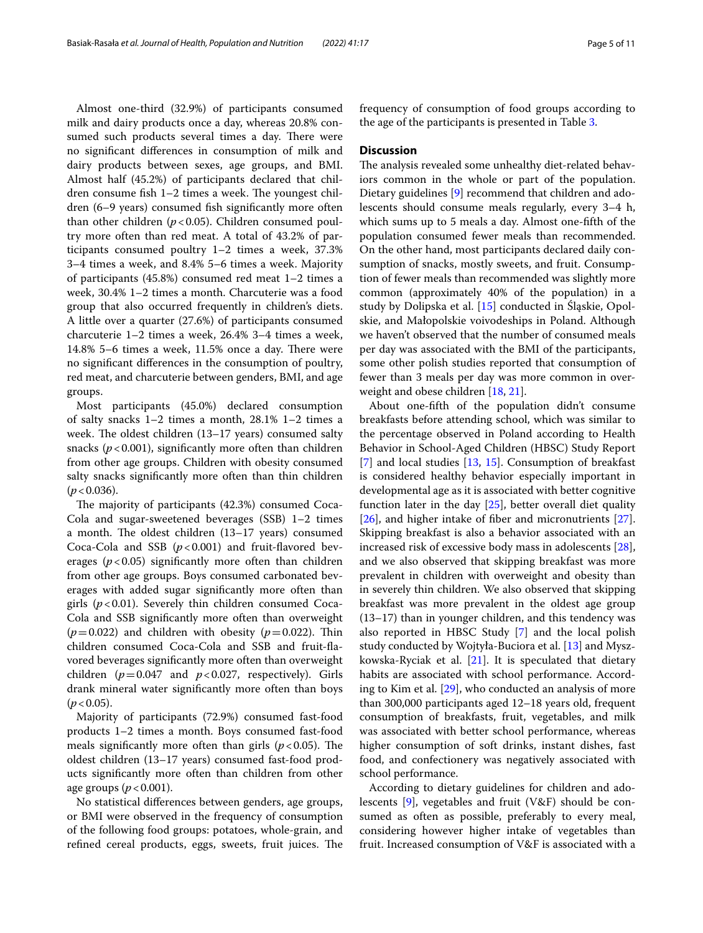Almost one-third (32.9%) of participants consumed milk and dairy products once a day, whereas 20.8% consumed such products several times a day. There were no signifcant diferences in consumption of milk and dairy products between sexes, age groups, and BMI. Almost half (45.2%) of participants declared that children consume fish  $1-2$  times a week. The youngest children (6–9 years) consumed fsh signifcantly more often than other children  $(p<0.05)$ . Children consumed poultry more often than red meat. A total of 43.2% of participants consumed poultry 1–2 times a week, 37.3% 3–4 times a week, and 8.4% 5–6 times a week. Majority of participants (45.8%) consumed red meat 1–2 times a week, 30.4% 1–2 times a month. Charcuterie was a food group that also occurred frequently in children's diets. A little over a quarter (27.6%) of participants consumed charcuterie 1–2 times a week, 26.4% 3–4 times a week,  $14.8\%$  5–6 times a week,  $11.5\%$  once a day. There were no signifcant diferences in the consumption of poultry, red meat, and charcuterie between genders, BMI, and age groups.

Most participants (45.0%) declared consumption of salty snacks 1–2 times a month, 28.1% 1–2 times a week. The oldest children  $(13-17 \text{ years})$  consumed salty snacks  $(p<0.001)$ , significantly more often than children from other age groups. Children with obesity consumed salty snacks signifcantly more often than thin children  $(p < 0.036)$ .

The majority of participants (42.3%) consumed Coca-Cola and sugar-sweetened beverages (SSB) 1–2 times a month. The oldest children  $(13-17 \text{ years})$  consumed Coca-Cola and SSB  $(p<0.001)$  and fruit-flavored beverages  $(p<0.05)$  significantly more often than children from other age groups. Boys consumed carbonated beverages with added sugar signifcantly more often than girls (*p*<0.01). Severely thin children consumed Coca-Cola and SSB signifcantly more often than overweight  $(p=0.022)$  and children with obesity  $(p=0.022)$ . Thin children consumed Coca-Cola and SSB and fruit-favored beverages signifcantly more often than overweight children  $(p=0.047$  and  $p<0.027$ , respectively). Girls drank mineral water signifcantly more often than boys  $(p < 0.05)$ .

Majority of participants (72.9%) consumed fast-food products 1–2 times a month. Boys consumed fast-food meals significantly more often than girls  $(p<0.05)$ . The oldest children (13–17 years) consumed fast-food products signifcantly more often than children from other age groups  $(p < 0.001)$ .

No statistical diferences between genders, age groups, or BMI were observed in the frequency of consumption of the following food groups: potatoes, whole-grain, and refined cereal products, eggs, sweets, fruit juices. The frequency of consumption of food groups according to the age of the participants is presented in Table [3](#page-5-0).

## **Discussion**

The analysis revealed some unhealthy diet-related behaviors common in the whole or part of the population. Dietary guidelines [[9\]](#page-9-8) recommend that children and adolescents should consume meals regularly, every 3–4 h, which sums up to 5 meals a day. Almost one-ffth of the population consumed fewer meals than recommended. On the other hand, most participants declared daily consumption of snacks, mostly sweets, and fruit. Consumption of fewer meals than recommended was slightly more common (approximately 40% of the population) in a study by Dolipska et al. [[15\]](#page-9-17) conducted in Śląskie, Opolskie, and Małopolskie voivodeships in Poland. Although we haven't observed that the number of consumed meals per day was associated with the BMI of the participants, some other polish studies reported that consumption of fewer than 3 meals per day was more common in overweight and obese children [[18,](#page-9-18) [21\]](#page-9-13).

About one-ffth of the population didn't consume breakfasts before attending school, which was similar to the percentage observed in Poland according to Health Behavior in School-Aged Children (HBSC) Study Report [[7\]](#page-9-6) and local studies [[13,](#page-9-12) [15](#page-9-17)]. Consumption of breakfast is considered healthy behavior especially important in developmental age as it is associated with better cognitive function later in the day [[25\]](#page-9-19), better overall diet quality [[26\]](#page-9-20), and higher intake of fber and micronutrients [\[27](#page-9-21)]. Skipping breakfast is also a behavior associated with an increased risk of excessive body mass in adolescents [\[28](#page-9-22)], and we also observed that skipping breakfast was more prevalent in children with overweight and obesity than in severely thin children. We also observed that skipping breakfast was more prevalent in the oldest age group (13–17) than in younger children, and this tendency was also reported in HBSC Study [\[7](#page-9-6)] and the local polish study conducted by Wojtyła-Buciora et al. [[13](#page-9-12)] and Myszkowska-Ryciak et al.  $[21]$  $[21]$ . It is speculated that dietary habits are associated with school performance. According to Kim et al. [\[29](#page-9-23)], who conducted an analysis of more than 300,000 participants aged 12–18 years old, frequent consumption of breakfasts, fruit, vegetables, and milk was associated with better school performance, whereas higher consumption of soft drinks, instant dishes, fast food, and confectionery was negatively associated with school performance.

According to dietary guidelines for children and adolescents [\[9\]](#page-9-8), vegetables and fruit (V&F) should be consumed as often as possible, preferably to every meal, considering however higher intake of vegetables than fruit. Increased consumption of V&F is associated with a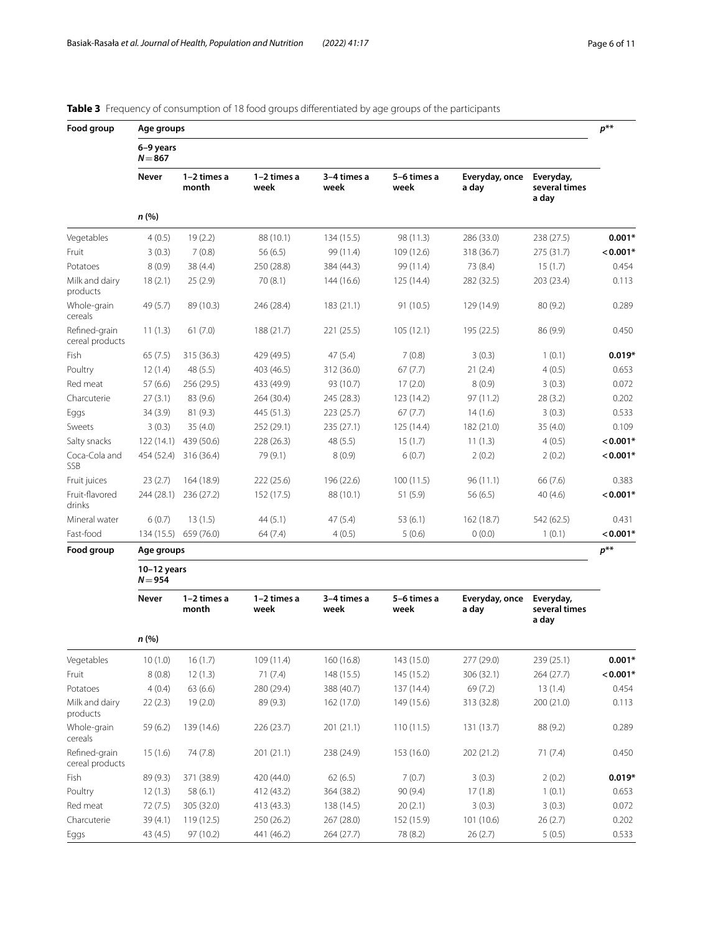| Food group                       | Age groups                 |                      |                     |                     |                     |                         |                                     |            |  |
|----------------------------------|----------------------------|----------------------|---------------------|---------------------|---------------------|-------------------------|-------------------------------------|------------|--|
|                                  | 6-9 years<br>$N = 867$     |                      |                     |                     |                     |                         |                                     |            |  |
|                                  | <b>Never</b>               | 1-2 times a<br>month | 1-2 times a<br>week | 3-4 times a<br>week | 5-6 times a<br>week | Everyday, once<br>a day | Everyday,<br>several times<br>a day |            |  |
|                                  | n (%)                      |                      |                     |                     |                     |                         |                                     |            |  |
| Vegetables                       | 4(0.5)                     | 19(2.2)              | 88 (10.1)           | 134 (15.5)          | 98 (11.3)           | 286 (33.0)              | 238 (27.5)                          | $0.001*$   |  |
| Fruit                            | 3(0.3)                     | 7(0.8)               | 56(6.5)             | 99 (11.4)           | 109 (12.6)          | 318 (36.7)              | 275 (31.7)                          | $0.001*$   |  |
| Potatoes                         | 8(0.9)                     | 38 (4.4)             | 250 (28.8)          | 384 (44.3)          | 99 (11.4)           | 73 (8.4)                | 15(1.7)                             | 0.454      |  |
| Milk and dairy<br>products       | 18(2.1)                    | 25(2.9)              | 70 (8.1)            | 144 (16.6)          | 125 (14.4)          | 282 (32.5)              | 203 (23.4)                          | 0.113      |  |
| Whole-grain<br>cereals           | 49 (5.7)                   | 89 (10.3)            | 246 (28.4)          | 183(21.1)           | 91 (10.5)           | 129 (14.9)              | 80 (9.2)                            | 0.289      |  |
| Refined-grain<br>cereal products | 11(1.3)                    | 61(7.0)              | 188 (21.7)          | 221 (25.5)          | 105(12.1)           | 195 (22.5)              | 86 (9.9)                            | 0.450      |  |
| Fish                             | 65(7.5)                    | 315 (36.3)           | 429 (49.5)          | 47(5.4)             | 7(0.8)              | 3(0.3)                  | 1(0.1)                              | $0.019*$   |  |
| Poultry                          | 12(1.4)                    | 48(5.5)              | 403 (46.5)          | 312 (36.0)          | 67(7.7)             | 21(2.4)                 | 4(0.5)                              | 0.653      |  |
| Red meat                         | 57(6.6)                    | 256 (29.5)           | 433 (49.9)          | 93 (10.7)           | 17(2.0)             | 8(0.9)                  | 3(0.3)                              | 0.072      |  |
| Charcuterie                      | 27(3.1)                    | 83 (9.6)             | 264 (30.4)          | 245 (28.3)          | 123 (14.2)          | 97 (11.2)               | 28 (3.2)                            | 0.202      |  |
| Eggs                             | 34(3.9)                    | 81 (9.3)             | 445 (51.3)          | 223 (25.7)          | 67(7.7)             | 14(1.6)                 | 3(0.3)                              | 0.533      |  |
| Sweets                           | 3(0.3)                     | 35(4.0)              | 252 (29.1)          | 235 (27.1)          | 125 (14.4)          | 182 (21.0)              | 35(4.0)                             | 0.109      |  |
| Salty snacks                     | 122(14.1)                  | 439 (50.6)           | 228 (26.3)          | 48 (5.5)            | 15(1.7)             | 11(1.3)                 | 4(0.5)                              | $< 0.001*$ |  |
| Coca-Cola and<br>SSB             | 454 (52.4)                 | 316 (36.4)           | 79 (9.1)            | 8(0.9)              | 6(0.7)              | 2(0.2)                  | 2(0.2)                              | $0.001*$   |  |
| Fruit juices                     | 23(2.7)                    | 164 (18.9)           | 222 (25.6)          | 196 (22.6)          | 100(11.5)           | 96(11.1)                | 66 (7.6)                            | 0.383      |  |
| Fruit-flavored<br>drinks         | 244 (28.1)                 | 236 (27.2)           | 152 (17.5)          | 88 (10.1)           | 51(5.9)             | 56(6.5)                 | 40(4.6)                             | $0.001*$   |  |
| Mineral water                    | 6(0.7)                     | 13(1.5)              | 44(5.1)             | 47(5.4)             | 53(6.1)             | 162 (18.7)              | 542 (62.5)                          | 0.431      |  |
| Fast-food                        | 134 (15.5)                 | 659 (76.0)           | 64(7.4)             | 4(0.5)              | 5(0.6)              | 0(0.0)                  | 1(0.1)                              | $< 0.001*$ |  |
| Food group                       | Age groups                 |                      |                     |                     |                     |                         |                                     |            |  |
|                                  | $10-12$ years<br>$N = 954$ |                      |                     |                     |                     |                         |                                     |            |  |
|                                  | <b>Never</b>               | 1-2 times a<br>month | 1-2 times a<br>week | 3-4 times a<br>week | 5-6 times a<br>week | Everyday, once<br>a day | Everyday,<br>several times<br>a day |            |  |
|                                  | n(%)                       |                      |                     |                     |                     |                         |                                     |            |  |
| Vegetables                       | 10(1.0)                    | 16(1.7)              | 109 (11.4)          | 160 (16.8)          | 143 (15.0)          | 277 (29.0)              | 239 (25.1)                          | $0.001*$   |  |
| Fruit                            | 8(0.8)                     | 12(1.3)              | 71(7.4)             | 148 (15.5)          | 145 (15.2)          | 306 (32.1)              | 264 (27.7)                          | $< 0.001*$ |  |
| Potatoes                         | 4(0.4)                     | 63(6.6)              | 280 (29.4)          | 388 (40.7)          | 137 (14.4)          | 69 (7.2)                | 13(1.4)                             | 0.454      |  |
| Milk and dairy<br>products       | 22(2.3)                    | 19(2.0)              | 89 (9.3)            | 162 (17.0)          | 149 (15.6)          | 313 (32.8)              | 200 (21.0)                          | 0.113      |  |
| Whole-grain<br>cereals           | 59 (6.2)                   | 139 (14.6)           | 226 (23.7)          | 201 (21.1)          | 110(11.5)           | 131 (13.7)              | 88 (9.2)                            | 0.289      |  |
| Refined-grain<br>cereal products | 15(1.6)                    | 74 (7.8)             | 201 (21.1)          | 238 (24.9)          | 153 (16.0)          | 202 (21.2)              | 71(7.4)                             | 0.450      |  |
| Fish                             | 89 (9.3)                   | 371 (38.9)           | 420 (44.0)          | 62(6.5)             | 7(0.7)              | 3(0.3)                  | 2(0.2)                              | $0.019*$   |  |

Poultry 12 (1.3) 58 (6.1) 412 (43.2) 364 (38.2) 90 (9.4) 17 (1.8) 1 (0.1) 0.653 Red meat  $72 (7.5)$  305 (32.0) 413 (43.3) 138 (14.5) 20 (2.1) 3 (0.3) 3 (0.3) 0.072 Charcuterie 39 (4.1) 119 (12.5) 250 (26.2) 267 (28.0) 152 (15.9) 101 (10.6) 26 (2.7) 0.202 Eggs 43 (4.5) 97 (10.2) 441 (46.2) 264 (27.7) 78 (8.2) 26 (2.7) 5 (0.5) 0.533

## <span id="page-5-0"></span>**Table 3** Frequency of consumption of 18 food groups differentiated by age groups of the participants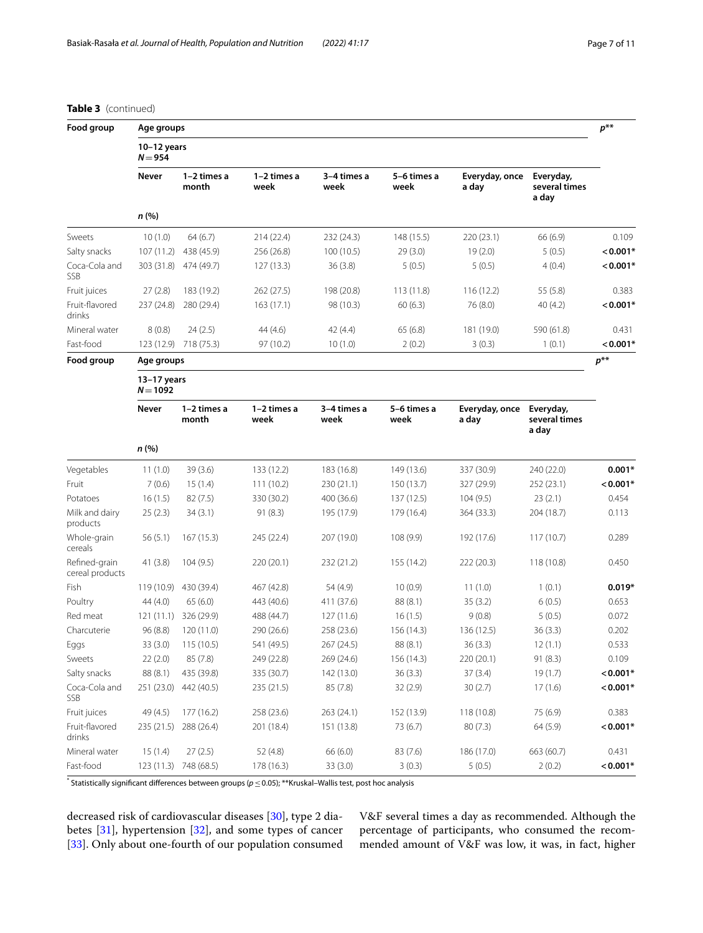## **Table 3** (continued)

| Food group                       | Age groups<br>$10-12$ years<br>$N = 954$ |                       |                       |                     |                     |                         |                                     |            |  |
|----------------------------------|------------------------------------------|-----------------------|-----------------------|---------------------|---------------------|-------------------------|-------------------------------------|------------|--|
|                                  |                                          |                       |                       |                     |                     |                         |                                     |            |  |
|                                  |                                          | n(%)                  |                       |                     |                     |                         |                                     |            |  |
| Sweets                           | 10(1.0)                                  | 64(6.7)               | 214 (22.4)            | 232 (24.3)          | 148 (15.5)          | 220 (23.1)              | 66 (6.9)                            | 0.109      |  |
| Salty snacks                     | 107(11.2)                                | 438 (45.9)            | 256 (26.8)            | 100(10.5)           | 29(3.0)             | 19(2.0)                 | 5(0.5)                              | $< 0.001*$ |  |
| Coca-Cola and<br>SSB             | 303 (31.8)                               | 474 (49.7)            | 127(13.3)             | 36(3.8)             | 5(0.5)              | 5(0.5)                  | 4(0.4)                              | $< 0.001*$ |  |
| Fruit juices                     | 27(2.8)                                  | 183 (19.2)            | 262 (27.5)            | 198 (20.8)          | 113(11.8)           | 116(12.2)               | 55 (5.8)                            | 0.383      |  |
| Fruit-flavored<br>drinks         | 237 (24.8)                               | 280 (29.4)            | 163(17.1)             | 98 (10.3)           | 60(6.3)             | 76 (8.0)                | 40 (4.2)                            | $< 0.001*$ |  |
| Mineral water                    | 8(0.8)                                   | 24(2.5)               | 44 (4.6)              | 42 (4.4)            | 65(6.8)             | 181 (19.0)              | 590 (61.8)                          | 0.431      |  |
| Fast-food                        |                                          | 123 (12.9) 718 (75.3) | 97 (10.2)             | 10(1.0)             | 2(0.2)              | 3(0.3)                  | 1(0.1)                              | $< 0.001*$ |  |
| Food group                       | Age groups                               |                       |                       |                     |                     |                         |                                     | $p^{**}$   |  |
|                                  | $13-17$ years<br>$N = 1092$              |                       |                       |                     |                     |                         |                                     |            |  |
|                                  | Never                                    | 1-2 times a<br>month  | $1-2$ times a<br>week | 3-4 times a<br>week | 5-6 times a<br>week | Everyday, once<br>a day | Everyday,<br>several times<br>a day |            |  |
|                                  | n(%)                                     |                       |                       |                     |                     |                         |                                     |            |  |
| Vegetables                       | 11(1.0)                                  | 39(3.6)               | 133 (12.2)            | 183 (16.8)          | 149 (13.6)          | 337 (30.9)              | 240 (22.0)                          | $0.001*$   |  |
| Fruit                            | 7(0.6)                                   | 15(1.4)               | 111(10.2)             | 230 (21.1)          | 150 (13.7)          | 327 (29.9)              | 252 (23.1)                          | $0.001*$   |  |
| Potatoes                         | 16(1.5)                                  | 82(7.5)               | 330 (30.2)            | 400 (36.6)          | 137 (12.5)          | 104(9.5)                | 23(2.1)                             | 0.454      |  |
| Milk and dairy<br>products       | 25(2.3)                                  | 34(3.1)               | 91(8.3)               | 195 (17.9)          | 179 (16.4)          | 364 (33.3)              | 204 (18.7)                          | 0.113      |  |
| Whole-grain<br>cereals           | 56 (5.1)                                 | 167(15.3)             | 245 (22.4)            | 207 (19.0)          | 108(9.9)            | 192 (17.6)              | 117(10.7)                           | 0.289      |  |
| Refined-grain<br>cereal products | 41(3.8)                                  | 104(9.5)              | 220 (20.1)            | 232 (21.2)          | 155 (14.2)          | 222 (20.3)              | 118 (10.8)                          | 0.450      |  |
| Fish                             | 119 (10.9)                               | 430 (39.4)            | 467 (42.8)            | 54 (4.9)            | 10(0.9)             | 11(1.0)                 | 1(0.1)                              | $0.019*$   |  |
| Poultry                          | 44(4.0)                                  | 65(6.0)               | 443 (40.6)            | 411 (37.6)          | 88(8.1)             | 35(3.2)                 | 6(0.5)                              | 0.653      |  |
| Red meat                         | 121(11.1)                                | 326 (29.9)            | 488 (44.7)            | 127 (11.6)          | 16(1.5)             | 9(0.8)                  | 5(0.5)                              | 0.072      |  |
| Charcuterie                      | 96 (8.8)                                 | 120 (11.0)            | 290 (26.6)            | 258 (23.6)          | 156 (14.3)          | 136 (12.5)              | 36(3.3)                             | 0.202      |  |
| Eggs                             | 33 (3.0)                                 | 115(10.5)             | 541 (49.5)            | 267 (24.5)          | 88 (8.1)            | 36(3.3)                 | 12(1.1)                             | 0.533      |  |
| Sweets                           | 22(2.0)                                  | 85(7.8)               | 249 (22.8)            | 269 (24.6)          | 156 (14.3)          | 220 (20.1)              | 91 (8.3)                            | 0.109      |  |
| Salty snacks                     | 88 (8.1)                                 | 435 (39.8)            | 335 (30.7)            | 142 (13.0)          | 36(3.3)             | 37(3.4)                 | 19(1.7)                             | $< 0.001*$ |  |
| Coca-Cola and<br>SSB             | 251 (23.0)                               | 442 (40.5)            | 235 (21.5)            | 85(7.8)             | 32(2.9)             | 30(2.7)                 | 17(1.6)                             | $< 0.001*$ |  |
| Fruit juices                     | 49 (4.5)                                 | 177 (16.2)            | 258 (23.6)            | 263 (24.1)          | 152 (13.9)          | 118(10.8)               | 75 (6.9)                            | 0.383      |  |
| Fruit-flavored<br>drinks         | 235(21.5)                                | 288 (26.4)            | 201 (18.4)            | 151 (13.8)          | 73 (6.7)            | 80(7.3)                 | 64 (5.9)                            | $0.001*$   |  |
| Mineral water                    | 15(1.4)                                  | 27(2.5)               | 52 (4.8)              | 66(6.0)             | 83(7.6)             | 186 (17.0)              | 663 (60.7)                          | 0.431      |  |
| Fast-food                        |                                          | 123 (11.3) 748 (68.5) | 178 (16.3)            | 33 (3.0)            | 3(0.3)              | 5(0.5)                  | 2(0.2)                              | $< 0.001*$ |  |

\* Statistically signifcant diferences between groups (*p*≤0.05); \*\*Kruskal–Wallis test, post hoc analysis

decreased risk of cardiovascular diseases [\[30\]](#page-9-24), type 2 diabetes [[31\]](#page-9-25), hypertension [\[32\]](#page-9-26), and some types of cancer [[33\]](#page-9-27). Only about one-fourth of our population consumed V&F several times a day as recommended. Although the percentage of participants, who consumed the recommended amount of V&F was low, it was, in fact, higher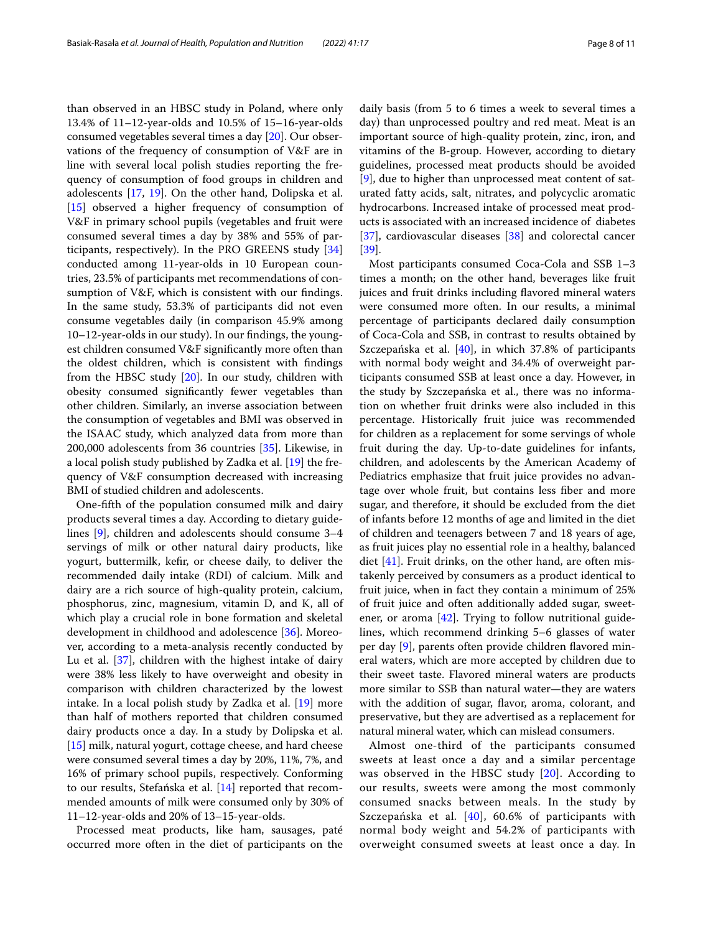than observed in an HBSC study in Poland, where only 13.4% of 11–12-year-olds and 10.5% of 15–16-year-olds consumed vegetables several times a day [[20\]](#page-9-28). Our observations of the frequency of consumption of V&F are in line with several local polish studies reporting the frequency of consumption of food groups in children and adolescents [[17](#page-9-29), [19](#page-9-30)]. On the other hand, Dolipska et al. [[15\]](#page-9-17) observed a higher frequency of consumption of V&F in primary school pupils (vegetables and fruit were consumed several times a day by 38% and 55% of participants, respectively). In the PRO GREENS study [[34](#page-9-31)] conducted among 11-year-olds in 10 European countries, 23.5% of participants met recommendations of consumption of V&F, which is consistent with our fndings. In the same study, 53.3% of participants did not even consume vegetables daily (in comparison 45.9% among 10–12-year-olds in our study). In our fndings, the youngest children consumed V&F signifcantly more often than the oldest children, which is consistent with fndings from the HBSC study [\[20](#page-9-28)]. In our study, children with obesity consumed signifcantly fewer vegetables than other children. Similarly, an inverse association between the consumption of vegetables and BMI was observed in the ISAAC study, which analyzed data from more than 200,000 adolescents from 36 countries [[35\]](#page-9-32). Likewise, in a local polish study published by Zadka et al. [[19\]](#page-9-30) the frequency of V&F consumption decreased with increasing BMI of studied children and adolescents.

One-ffth of the population consumed milk and dairy products several times a day. According to dietary guidelines [\[9](#page-9-8)], children and adolescents should consume 3–4 servings of milk or other natural dairy products, like yogurt, buttermilk, kefr, or cheese daily, to deliver the recommended daily intake (RDI) of calcium. Milk and dairy are a rich source of high-quality protein, calcium, phosphorus, zinc, magnesium, vitamin D, and K, all of which play a crucial role in bone formation and skeletal development in childhood and adolescence [\[36\]](#page-10-0). Moreover, according to a meta-analysis recently conducted by Lu et al. [\[37](#page-10-1)], children with the highest intake of dairy were 38% less likely to have overweight and obesity in comparison with children characterized by the lowest intake. In a local polish study by Zadka et al. [[19](#page-9-30)] more than half of mothers reported that children consumed dairy products once a day. In a study by Dolipska et al. [[15\]](#page-9-17) milk, natural yogurt, cottage cheese, and hard cheese were consumed several times a day by 20%, 11%, 7%, and 16% of primary school pupils, respectively. Conforming to our results, Stefańska et al. [[14](#page-9-33)] reported that recommended amounts of milk were consumed only by 30% of 11–12-year-olds and 20% of 13–15-year-olds.

Processed meat products, like ham, sausages, paté occurred more often in the diet of participants on the daily basis (from 5 to 6 times a week to several times a day) than unprocessed poultry and red meat. Meat is an important source of high-quality protein, zinc, iron, and vitamins of the B-group. However, according to dietary guidelines, processed meat products should be avoided [[9\]](#page-9-8), due to higher than unprocessed meat content of saturated fatty acids, salt, nitrates, and polycyclic aromatic hydrocarbons. Increased intake of processed meat products is associated with an increased incidence of diabetes [[37\]](#page-10-1), cardiovascular diseases [\[38\]](#page-10-2) and colorectal cancer [[39\]](#page-10-3).

Most participants consumed Coca-Cola and SSB 1–3 times a month; on the other hand, beverages like fruit juices and fruit drinks including favored mineral waters were consumed more often. In our results, a minimal percentage of participants declared daily consumption of Coca-Cola and SSB, in contrast to results obtained by Szczepańska et al. [[40](#page-10-4)], in which 37.8% of participants with normal body weight and 34.4% of overweight participants consumed SSB at least once a day. However, in the study by Szczepańska et al., there was no information on whether fruit drinks were also included in this percentage. Historically fruit juice was recommended for children as a replacement for some servings of whole fruit during the day. Up-to-date guidelines for infants, children, and adolescents by the American Academy of Pediatrics emphasize that fruit juice provides no advantage over whole fruit, but contains less fber and more sugar, and therefore, it should be excluded from the diet of infants before 12 months of age and limited in the diet of children and teenagers between 7 and 18 years of age, as fruit juices play no essential role in a healthy, balanced diet [[41](#page-10-5)]. Fruit drinks, on the other hand, are often mistakenly perceived by consumers as a product identical to fruit juice, when in fact they contain a minimum of 25% of fruit juice and often additionally added sugar, sweetener, or aroma [[42\]](#page-10-6). Trying to follow nutritional guidelines, which recommend drinking 5–6 glasses of water per day [\[9](#page-9-8)], parents often provide children favored mineral waters, which are more accepted by children due to their sweet taste. Flavored mineral waters are products more similar to SSB than natural water—they are waters with the addition of sugar, flavor, aroma, colorant, and preservative, but they are advertised as a replacement for natural mineral water, which can mislead consumers.

Almost one-third of the participants consumed sweets at least once a day and a similar percentage was observed in the HBSC study [[20](#page-9-28)]. According to our results, sweets were among the most commonly consumed snacks between meals. In the study by Szczepańska et al. [\[40\]](#page-10-4), 60.6% of participants with normal body weight and 54.2% of participants with overweight consumed sweets at least once a day. In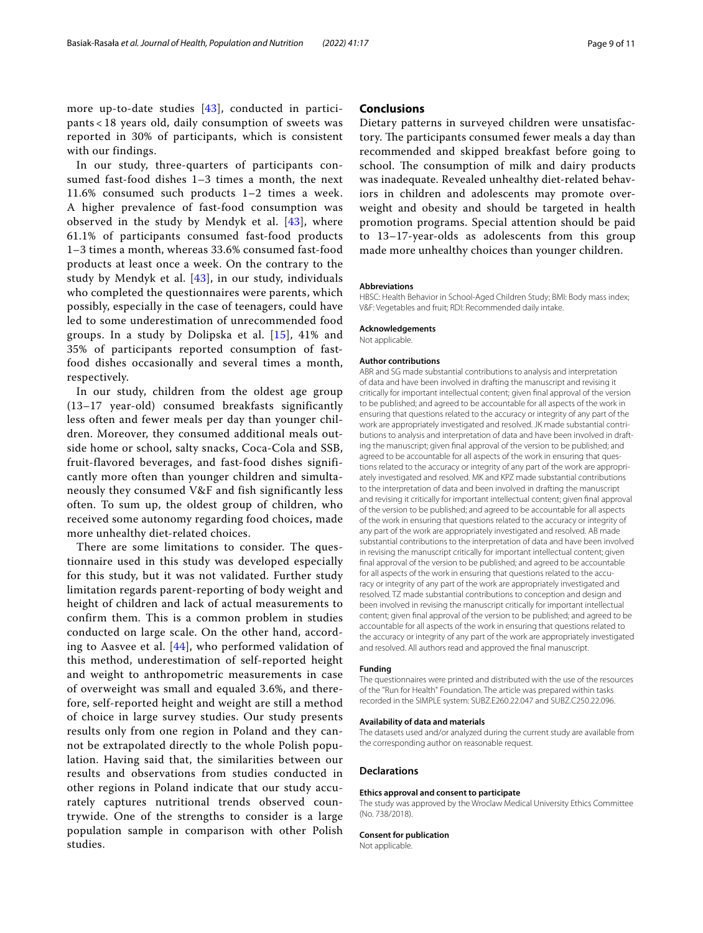more up-to-date studies [[43\]](#page-10-7), conducted in participants < 18 years old, daily consumption of sweets was reported in 30% of participants, which is consistent with our findings.

In our study, three-quarters of participants consumed fast-food dishes 1–3 times a month, the next 11.6% consumed such products 1–2 times a week. A higher prevalence of fast-food consumption was observed in the study by Mendyk et al.  $[43]$  $[43]$  $[43]$ , where 61.1% of participants consumed fast-food products 1–3 times a month, whereas 33.6% consumed fast-food products at least once a week. On the contrary to the study by Mendyk et al.  $[43]$  $[43]$ , in our study, individuals who completed the questionnaires were parents, which possibly, especially in the case of teenagers, could have led to some underestimation of unrecommended food groups. In a study by Dolipska et al. [\[15](#page-9-17)], 41% and 35% of participants reported consumption of fastfood dishes occasionally and several times a month, respectively.

In our study, children from the oldest age group (13–17 year-old) consumed breakfasts significantly less often and fewer meals per day than younger children. Moreover, they consumed additional meals outside home or school, salty snacks, Coca-Cola and SSB, fruit-flavored beverages, and fast-food dishes significantly more often than younger children and simultaneously they consumed V&F and fish significantly less often. To sum up, the oldest group of children, who received some autonomy regarding food choices, made more unhealthy diet-related choices.

There are some limitations to consider. The questionnaire used in this study was developed especially for this study, but it was not validated. Further study limitation regards parent-reporting of body weight and height of children and lack of actual measurements to confirm them. This is a common problem in studies conducted on large scale. On the other hand, according to Aasvee et al. [[44](#page-10-8)], who performed validation of this method, underestimation of self-reported height and weight to anthropometric measurements in case of overweight was small and equaled 3.6%, and therefore, self-reported height and weight are still a method of choice in large survey studies. Our study presents results only from one region in Poland and they cannot be extrapolated directly to the whole Polish population. Having said that, the similarities between our results and observations from studies conducted in other regions in Poland indicate that our study accurately captures nutritional trends observed countrywide. One of the strengths to consider is a large population sample in comparison with other Polish studies.

## **Conclusions**

Dietary patterns in surveyed children were unsatisfactory. The participants consumed fewer meals a day than recommended and skipped breakfast before going to school. The consumption of milk and dairy products was inadequate. Revealed unhealthy diet-related behaviors in children and adolescents may promote overweight and obesity and should be targeted in health promotion programs. Special attention should be paid to 13–17-year-olds as adolescents from this group made more unhealthy choices than younger children.

#### **Abbreviations**

HBSC: Health Behavior in School-Aged Children Study; BMI: Body mass index; V&F: Vegetables and fruit; RDI: Recommended daily intake.

#### **Acknowledgements**

Not applicable.

#### **Author contributions**

ABR and SG made substantial contributions to analysis and interpretation of data and have been involved in drafting the manuscript and revising it critically for important intellectual content; given fnal approval of the version to be published; and agreed to be accountable for all aspects of the work in ensuring that questions related to the accuracy or integrity of any part of the work are appropriately investigated and resolved. JK made substantial contributions to analysis and interpretation of data and have been involved in drafting the manuscript; given fnal approval of the version to be published; and agreed to be accountable for all aspects of the work in ensuring that questions related to the accuracy or integrity of any part of the work are appropriately investigated and resolved. MK and KPZ made substantial contributions to the interpretation of data and been involved in drafting the manuscript and revising it critically for important intellectual content; given fnal approval of the version to be published; and agreed to be accountable for all aspects of the work in ensuring that questions related to the accuracy or integrity of any part of the work are appropriately investigated and resolved. AB made substantial contributions to the interpretation of data and have been involved in revising the manuscript critically for important intellectual content; given fnal approval of the version to be published; and agreed to be accountable for all aspects of the work in ensuring that questions related to the accuracy or integrity of any part of the work are appropriately investigated and resolved. TZ made substantial contributions to conception and design and been involved in revising the manuscript critically for important intellectual content; given fnal approval of the version to be published; and agreed to be accountable for all aspects of the work in ensuring that questions related to the accuracy or integrity of any part of the work are appropriately investigated and resolved. All authors read and approved the fnal manuscript.

#### **Funding**

The questionnaires were printed and distributed with the use of the resources of the "Run for Health" Foundation. The article was prepared within tasks recorded in the SIMPLE system: SUBZ.E260.22.047 and SUBZ.C250.22.096.

#### **Availability of data and materials**

The datasets used and/or analyzed during the current study are available from the corresponding author on reasonable request.

#### **Declarations**

#### **Ethics approval and consent to participate**

The study was approved by the Wroclaw Medical University Ethics Committee (No. 738/2018).

#### **Consent for publication**

Not applicable.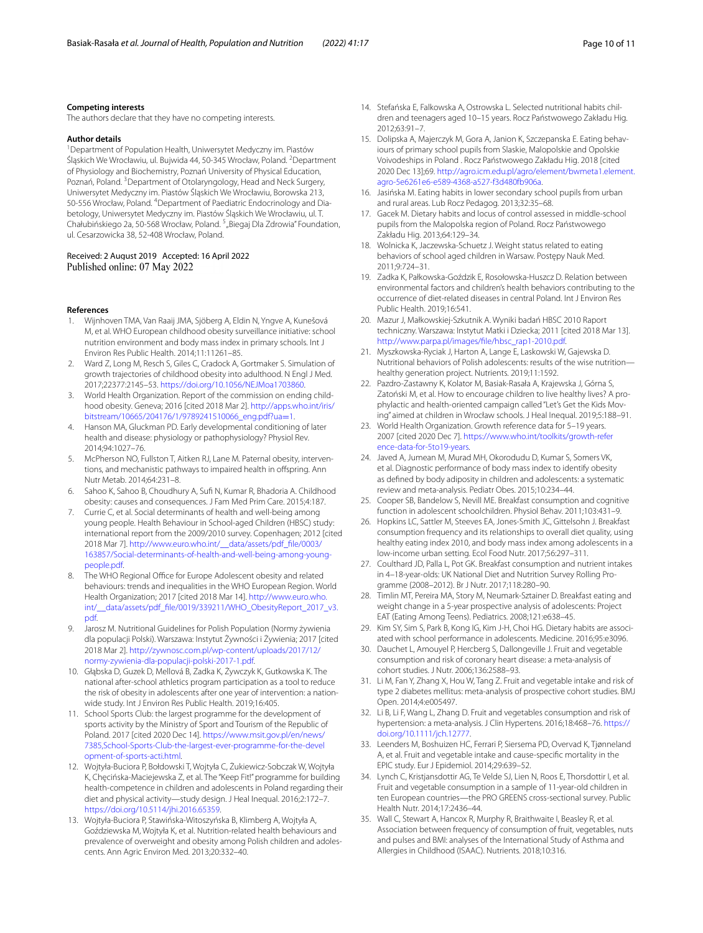#### **Competing interests**

The authors declare that they have no competing interests.

#### **Author details**

1 Department of Population Health, Uniwersytet Medyczny im. Piastów Śląskich We Wrocławiu, ul. Bujwida 44, 50-345 Wrocław, Poland. <sup>2</sup> Department of Physiology and Biochemistry, Poznań University of Physical Education, Poznań, Poland. <sup>3</sup> Department of Otolaryngology, Head and Neck Surgery, Uniwersytet Medyczny im. Piastów Śląskich We Wrocławiu, Borowska 213, 50-556 Wrocław, Poland. <sup>4</sup> Department of Paediatric Endocrinology and Diabetology, Uniwersytet Medyczny im. Piastów Śląskich We Wrocławiu, ul. T. Chałubińskiego 2a, 50-568 Wrocław, Poland. <sup>5</sup> "Biegaj Dla Zdrowia" Foundation, ul. Cesarzowicka 38, 52‑408 Wrocław, Poland.

#### Received: 2 August 2019 Accepted: 16 April 2022 Published online: 07 May 2022

#### **References**

- <span id="page-9-0"></span>1. Wijnhoven TMA, Van Raaij JMA, Sjöberg A, Eldin N, Yngve A, Kunešová M, et al. WHO European childhood obesity surveillance initiative: school nutrition environment and body mass index in primary schools. Int J Environ Res Public Health. 2014;11:11261–85.
- <span id="page-9-1"></span>2. Ward Z, Long M, Resch S, Giles C, Cradock A, Gortmaker S. Simulation of growth trajectories of childhood obesity into adulthood. N Engl J Med. 2017;22377:2145–53. [https://doi.org/10.1056/NEJMoa1703860.](https://doi.org/10.1056/NEJMoa1703860)
- <span id="page-9-2"></span>3. World Health Organization. Report of the commission on ending childhood obesity. Geneva; 2016 [cited 2018 Mar 2]. [http://apps.who.int/iris/](http://apps.who.int/iris/bitstream/10665/204176/1/9789241510066_eng.pdf?ua=1) [bitstream/10665/204176/1/9789241510066\\_eng.pdf?ua](http://apps.who.int/iris/bitstream/10665/204176/1/9789241510066_eng.pdf?ua=1)=1.
- <span id="page-9-3"></span>4. Hanson MA, Gluckman PD. Early developmental conditioning of later health and disease: physiology or pathophysiology? Physiol Rev. 2014;94:1027–76.
- <span id="page-9-4"></span>5. McPherson NO, Fullston T, Aitken RJ, Lane M. Paternal obesity, interventions, and mechanistic pathways to impaired health in offspring. Ann Nutr Metab. 2014;64:231–8.
- <span id="page-9-5"></span>6. Sahoo K, Sahoo B, Choudhury A, Suf N, Kumar R, Bhadoria A. Childhood obesity: causes and consequences. J Fam Med Prim Care. 2015;4:187.
- <span id="page-9-6"></span>7. Currie C, et al. Social determinants of health and well-being among young people. Health Behaviour in School-aged Children (HBSC) study: international report from the 2009/2010 survey. Copenhagen; 2012 [cited 2018 Mar 7]. [http://www.euro.who.int/\\_\\_data/assets/pdf\\_fle/0003/](http://www.euro.who.int/__data/assets/pdf_file/0003/163857/Social-determinants-of-health-and-well-being-among-young-people.pdf) [163857/Social-determinants-of-health-and-well-being-among-young](http://www.euro.who.int/__data/assets/pdf_file/0003/163857/Social-determinants-of-health-and-well-being-among-young-people.pdf) [people.pdf](http://www.euro.who.int/__data/assets/pdf_file/0003/163857/Social-determinants-of-health-and-well-being-among-young-people.pdf).
- <span id="page-9-7"></span>8. The WHO Regional Office for Europe Adolescent obesity and related behaviours: trends and inequalities in the WHO European Region. World Health Organization; 2017 [cited 2018 Mar 14]. [http://www.euro.who.](http://www.euro.who.int/__data/assets/pdf_file/0019/339211/WHO_ObesityReport_2017_v3.pdf) [int/\\_\\_data/assets/pdf\\_fle/0019/339211/WHO\\_ObesityReport\\_2017\\_v3.](http://www.euro.who.int/__data/assets/pdf_file/0019/339211/WHO_ObesityReport_2017_v3.pdf) [pdf.](http://www.euro.who.int/__data/assets/pdf_file/0019/339211/WHO_ObesityReport_2017_v3.pdf)
- <span id="page-9-8"></span>9. Jarosz M. Nutritional Guidelines for Polish Population (Normy żywienia dla populacji Polski). Warszawa: Instytut Żywności i Żywienia; 2017 [cited 2018 Mar 2]. [http://zywnosc.com.pl/wp-content/uploads/2017/12/](http://zywnosc.com.pl/wp-content/uploads/2017/12/normy-zywienia-dla-populacji-polski-2017-1.pdf) [normy-zywienia-dla-populacji-polski-2017-1.pdf.](http://zywnosc.com.pl/wp-content/uploads/2017/12/normy-zywienia-dla-populacji-polski-2017-1.pdf)
- <span id="page-9-9"></span>10. Głąbska D, Guzek D, Mellová B, Zadka K, Żywczyk K, Gutkowska K. The national after-school athletics program participation as a tool to reduce the risk of obesity in adolescents after one year of intervention: a nationwide study. Int J Environ Res Public Health. 2019;16:405.
- <span id="page-9-10"></span>11. School Sports Club: the largest programme for the development of sports activity by the Ministry of Sport and Tourism of the Republic of Poland. 2017 [cited 2020 Dec 14]. [https://www.msit.gov.pl/en/news/](https://www.msit.gov.pl/en/news/7385,School-Sports-Club-the-largest-ever-programme-for-the-development-of-sports-acti.html) [7385,School-Sports-Club-the-largest-ever-programme-for-the-devel](https://www.msit.gov.pl/en/news/7385,School-Sports-Club-the-largest-ever-programme-for-the-development-of-sports-acti.html) [opment-of-sports-acti.html](https://www.msit.gov.pl/en/news/7385,School-Sports-Club-the-largest-ever-programme-for-the-development-of-sports-acti.html).
- <span id="page-9-11"></span>12. Wojtyła-Buciora P, Bołdowski T, Wojtyła C, Żukiewicz-Sobczak W, Wojtyła K, Chęcińska-Maciejewska Z, et al. The "Keep Fit!" programme for building health-competence in children and adolescents in Poland regarding their diet and physical activity—study design. J Heal Inequal. 2016;2:172–7. <https://doi.org/10.5114/jhi.2016.65359>.
- <span id="page-9-12"></span>13. Wojtyła-Buciora P, Stawińska-Witoszyńska B, Klimberg A, Wojtyła A, Goździewska M, Wojtyła K, et al. Nutrition-related health behaviours and prevalence of overweight and obesity among Polish children and adolescents. Ann Agric Environ Med. 2013;20:332–40.
- <span id="page-9-33"></span>14. Stefańska E, Falkowska A, Ostrowska L. Selected nutritional habits children and teenagers aged 10–15 years. Rocz Państwowego Zakładu Hig. 2012;63:91–7.
- <span id="page-9-17"></span>15. Dolipska A, Majerczyk M, Gora A, Janion K, Szczepanska E. Eating behaviours of primary school pupils from Slaskie, Malopolskie and Opolskie Voivodeships in Poland . Rocz Państwowego Zakładu Hig. 2018 [cited 2020 Dec 13];69. [http://agro.icm.edu.pl/agro/element/bwmeta1.element.](http://agro.icm.edu.pl/agro/element/bwmeta1.element.agro-5e6261e6-e589-4368-a527-f3d480fb906a) [agro-5e6261e6-e589-4368-a527-f3d480fb906a.](http://agro.icm.edu.pl/agro/element/bwmeta1.element.agro-5e6261e6-e589-4368-a527-f3d480fb906a)
- 16. Jasińska M. Eating habits in lower secondary school pupils from urban and rural areas. Lub Rocz Pedagog. 2013;32:35–68.
- <span id="page-9-29"></span>17. Gacek M. Dietary habits and locus of control assessed in middle-school pupils from the Malopolska region of Poland. Rocz Państwowego Zakładu Hig. 2013;64:129–34.
- <span id="page-9-18"></span>18. Wolnicka K, Jaczewska-Schuetz J. Weight status related to eating behaviors of school aged children in Warsaw. Postępy Nauk Med. 2011;9:724–31.
- <span id="page-9-30"></span>19. Zadka K, Pałkowska-Goździk E, Rosołowska-Huszcz D. Relation between environmental factors and children's health behaviors contributing to the occurrence of diet-related diseases in central Poland. Int J Environ Res Public Health. 2019;16:541.
- <span id="page-9-28"></span>20. Mazur J, Małkowskiej-Szkutnik A. Wyniki badań HBSC 2010 Raport techniczny. Warszawa: Instytut Matki i Dziecka; 2011 [cited 2018 Mar 13]. [http://www.parpa.pl/images/fle/hbsc\\_rap1-2010.pdf.](http://www.parpa.pl/images/file/hbsc_rap1-2010.pdf)
- <span id="page-9-13"></span>21. Myszkowska-Ryciak J, Harton A, Lange E, Laskowski W, Gajewska D. Nutritional behaviors of Polish adolescents: results of the wise nutrition healthy generation project. Nutrients. 2019;11:1592.
- <span id="page-9-14"></span>22. Pazdro-Zastawny K, Kolator M, Basiak-Rasała A, Krajewska J, Górna S, Zatoński M, et al. How to encourage children to live healthy lives? A prophylactic and health-oriented campaign called "Let's Get the Kids Moving" aimed at children in Wrocław schools. J Heal Inequal. 2019;5:188–91.
- <span id="page-9-15"></span>23. World Health Organization. Growth reference data for 5–19 years. 2007 [cited 2020 Dec 7]. [https://www.who.int/toolkits/growth-refer](https://www.who.int/toolkits/growth-reference-data-for-5to19-years) [ence-data-for-5to19-years](https://www.who.int/toolkits/growth-reference-data-for-5to19-years).
- <span id="page-9-16"></span>24. Javed A, Jumean M, Murad MH, Okorodudu D, Kumar S, Somers VK, et al. Diagnostic performance of body mass index to identify obesity as defned by body adiposity in children and adolescents: a systematic review and meta-analysis. Pediatr Obes. 2015;10:234–44.
- <span id="page-9-19"></span>25. Cooper SB, Bandelow S, Nevill ME. Breakfast consumption and cognitive function in adolescent schoolchildren. Physiol Behav. 2011;103:431–9.
- <span id="page-9-20"></span>26. Hopkins LC, Sattler M, Steeves EA, Jones-Smith JC, Gittelsohn J. Breakfast consumption frequency and its relationships to overall diet quality, using healthy eating index 2010, and body mass index among adolescents in a low-income urban setting. Ecol Food Nutr. 2017;56:297–311.
- <span id="page-9-21"></span>27. Coulthard JD, Palla L, Pot GK. Breakfast consumption and nutrient intakes in 4–18-year-olds: UK National Diet and Nutrition Survey Rolling Programme (2008–2012). Br J Nutr. 2017;118:280–90.
- <span id="page-9-22"></span>28. Timlin MT, Pereira MA, Story M, Neumark-Sztainer D. Breakfast eating and weight change in a 5-year prospective analysis of adolescents: Project EAT (Eating Among Teens). Pediatrics. 2008;121:e638–45.
- <span id="page-9-23"></span>29. Kim SY, Sim S, Park B, Kong IG, Kim J-H, Choi HG. Dietary habits are associated with school performance in adolescents. Medicine. 2016;95:e3096.
- <span id="page-9-24"></span>30. Dauchet L, Amouyel P, Hercberg S, Dallongeville J. Fruit and vegetable consumption and risk of coronary heart disease: a meta-analysis of cohort studies. J Nutr. 2006;136:2588–93.
- <span id="page-9-25"></span>31. Li M, Fan Y, Zhang X, Hou W, Tang Z. Fruit and vegetable intake and risk of type 2 diabetes mellitus: meta-analysis of prospective cohort studies. BMJ Open. 2014;4:e005497.
- <span id="page-9-26"></span>32. Li B, Li F, Wang L, Zhang D. Fruit and vegetables consumption and risk of hypertension: a meta-analysis. J Clin Hypertens. 2016;18:468–76. [https://](https://doi.org/10.1111/jch.12777) [doi.org/10.1111/jch.12777](https://doi.org/10.1111/jch.12777).
- <span id="page-9-27"></span>33. Leenders M, Boshuizen HC, Ferrari P, Siersema PD, Overvad K, Tjønneland A, et al. Fruit and vegetable intake and cause-specifc mortality in the EPIC study. Eur J Epidemiol. 2014;29:639–52.
- <span id="page-9-31"></span>34. Lynch C, Kristjansdottir AG, Te Velde SJ, Lien N, Roos E, Thorsdottir I, et al. Fruit and vegetable consumption in a sample of 11-year-old children in ten European countries—the PRO GREENS cross-sectional survey. Public Health Nutr. 2014;17:2436–44.
- <span id="page-9-32"></span>35. Wall C, Stewart A, Hancox R, Murphy R, Braithwaite I, Beasley R, et al. Association between frequency of consumption of fruit, vegetables, nuts and pulses and BMI: analyses of the International Study of Asthma and Allergies in Childhood (ISAAC). Nutrients. 2018;10:316.